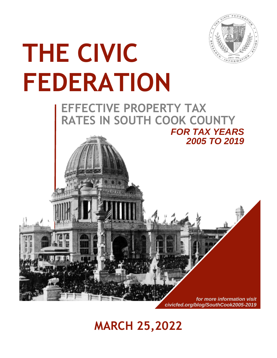

# **THE CIVIC FEDERATION**

# **EFFECTIVE PROPERTY TAX RATES IN SOUTH COOK COUNTY**  *FOR TAX YEARS*



# **MARCH 25,2022**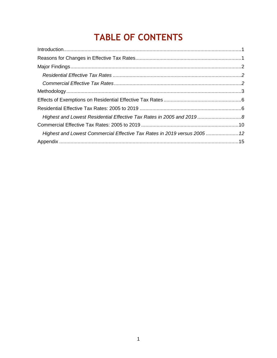# **TABLE OF CONTENTS**

| Highest and Lowest Residential Effective Tax Rates in 2005 and 2019 8     |  |
|---------------------------------------------------------------------------|--|
|                                                                           |  |
| Highest and Lowest Commercial Effective Tax Rates in 2019 versus 2005  12 |  |
|                                                                           |  |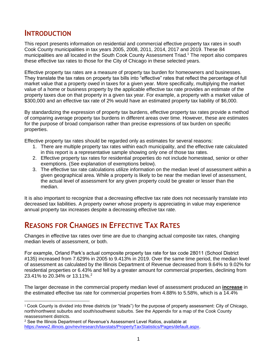## <span id="page-2-0"></span>**INTRODUCTION**

This report presents information on residential and commercial effective property tax rates in south Cook County municipalities in tax years 2005, 2008, 2011, 2014, 2017 and 2019. These 84 municipalities are all located in the South Cook County Assessment Triad.<sup>1</sup> The report also compares these effective tax rates to those for the City of Chicago in these selected years.

Effective property tax rates are a measure of property tax burden for homeowners and businesses. They translate the tax rates on property tax bills into "effective" rates that reflect the percentage of full market value that a property owed in taxes for a given year. More specifically, multiplying the market value of a home or business property by the applicable effective tax rate provides an estimate of the property taxes due on that property in a given tax year. For example, a property with a market value of \$300,000 and an effective tax rate of 2% would have an estimated property tax liability of \$6,000.

By standardizing the expression of property tax burdens, effective property tax rates provide a method of comparing average property tax burdens in different areas over time. However, these are estimates for the purpose of broad comparison rather than precise expressions of tax burden on specific properties.

Effective property tax rates should be regarded only as estimates for several reasons:

- 1. There are multiple property tax rates within each municipality, and the effective rate calculated in this report is a representative sample showing only one of those tax rates.
- 2. Effective property tax rates for residential properties do not include homestead, senior or other exemptions. (See explanation of exemptions below).
- 3. The effective tax rate calculations utilize information on the median level of assessment within a given geographical area. While a property is likely to be near the median level of assessment, the actual level of assessment for any given property could be greater or lesser than the median.

It is also important to recognize that a decreasing effective tax rate does not necessarily translate into decreased tax liabilities. A property owner whose property is appreciating in value may experience annual property tax increases despite a decreasing effective tax rate.

# <span id="page-2-1"></span>**REASONS FOR CHANGES IN EFFECTIVE TAX RATES**

Changes in effective tax rates over time are due to changing actual composite tax rates, changing median levels of assessment, or both.

For example, Orland Park's actual composite property tax rate for tax code 28011 (School District #135) increased from 7.629% in 2005 to 9.413% in 2019. Over the same time period, the median level of assessment as calculated by the Illinois Department of Revenue decreased from 9.64% to 9.02% for residential properties or 6.43% and fell by a greater amount for commercial properties, declining from 23.41% to 20.34% or 13.11%.<sup>2</sup>

The larger decrease in the commercial property median level of assessment produced an **increase** in the estimated effective tax rate for commercial properties from 4.88% to 5.58%, which is a 14.4%

 <sup>1</sup> Cook County is divided into three districts (or "triads") for the purpose of property assessment: City of Chicago, north/northwest suburbs and south/southwest suburbs. See the Appendix for a map of the Cook County reassessment districts.

<sup>2</sup> See the Illinois Department of Revenue's Assessment Level Ratios, available at [https://www2.illinois.gov/rev/research/taxstats/PropertyTaxStatistics/Pages/default.aspx.](https://www2.illinois.gov/rev/research/taxstats/PropertyTaxStatistics/Pages/default.aspx)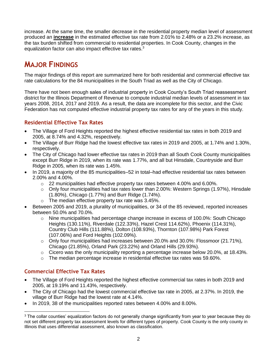increase. At the same time, the smaller decrease in the residential property median level of assessment produced an **increase** in the estimated effective tax rate from 2.01% to 2.48% or a 23.2% increase, as the tax burden shifted from commercial to residential properties. In Cook County, changes in the equalization factor can also impact effective tax rates.<sup>3</sup>

# <span id="page-3-0"></span>**MAJOR FINDINGS**

The major findings of this report are summarized here for both residential and commercial effective tax rate calculations for the 84 municipalities in the South Triad as well as the City of Chicago.

There have not been enough sales of industrial property in Cook County's South Triad reassessment district for the Illinois Department of Revenue to compute industrial median levels of assessment in tax years 2008, 2014, 2017 and 2019. As a result, the data are incomplete for this sector, and the Civic Federation has not computed effective industrial property tax rates for any of the years in this study.

#### <span id="page-3-1"></span>**Residential Effective Tax Rates**

- The Village of Ford Heights reported the highest effective residential tax rates in both 2019 and 2005, at 8.74% and 4.32%, respectively.
- The Village of Burr Ridge had the lowest effective tax rates in 2019 and 2005, at 1.74% and 1.30%, respectively.
- The City of Chicago had lower effective tax rates in 2019 than all South Cook County municipalities except Burr Ridge in 2019, when its rate was 1.77%, and all but Hinsdale, Countryside and Burr Ridge in 2005, when its rate was 1.45%.
- In 2019, a majority of the 85 municipalities–52 in total–had effective residential tax rates between 2.00% and 4.00%.
	- $\circ$  22 municipalities had effective property tax rates between 4.00% and 6.00%.
	- $\circ$  Only four municipalities had tax rates lower than 2.00%: Western Springs (1.97%), Hinsdale (1.80%), Chicago (1.77%) and Burr Ridge (1.74%).
	- $\circ$  The median effective property tax rate was 3.45%.
- Between 2005 and 2019, a plurality of municipalities, or 34 of the 85 reviewed, reported increases between 50.0% and 70.0%.
	- $\circ$  Nine municipalities had percentage change increase in excess of 100.0%: South Chicago Heights (130.11%), Riverdale (122.33%), Hazel Crest 114.62%), Phoenix (114.31%), Country Club Hills (111.88%), Dolton (108.93%), Thornton (107.98%) Park Forest (107.06%) and Ford Heights (102.09%).
	- $\circ$  Only four municipalities had increases between 20.0% and 30.0%: Flossmoor (21.71%), Chicago (21.85%), Orland Park (23.22%) and Orland Hills (29.93%).
	- $\circ$  Cicero was the only municipality reporting a percentage increase below 20.0%, at 18.43%.
	- o The median percentage increase in residential effective tax rates was 59.60%.

#### <span id="page-3-2"></span>**Commercial Effective Tax Rates**

- The Village of Ford Heights reported the highest effective commercial tax rates in both 2019 and 2005, at 19.19% and 11.43%, respectively.
- The City of Chicago had the lowest commercial effective tax rate in 2005, at 2.37%. In 2019, the village of Burr Ridge had the lowest rate at 4.14%.
- In 2019, 38 of the municipalities reported rates between 4.00% and 8.00%.

 $\overline{a}$ <sup>3</sup> The collar counties' equalization factors do not generally change significantly from year to year because they do not set different property tax assessment levels for different types of property. Cook County is the only county in Illinois that uses differential assessment, also known as classification.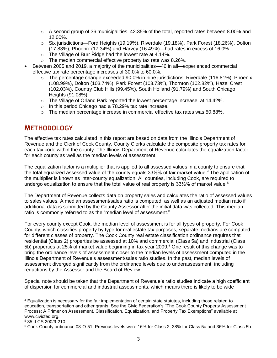- $\circ$  A second group of 36 municipalities, 42.35% of the total, reported rates between 8.00% and 12.00%.
- o Six jurisdictions—Ford Heights (19.19%), Riverdale (19.18%), Park Forest (18.26%), Dolton (17.83%), Phoenix (17.34%) and Harvey (16.49%)—had rates in excess of 16.0%.
- o The Village of Burr Ridge had the lowest rate at 4.14%.
- o The median commercial effective property tax rate was 8.26%.
- Between 2005 and 2019, a majority of the municipalities—46 in all—experienced commercial effective tax rate percentage increases of 30.0% to 60.0%.
	- $\circ$  The percentage change exceeded 90.0% in nine jurisdictions: Riverdale (116.81%), Phoenix (108.99%), Dolton (103.74%), Park Forest (103.73%), Thornton (102.82%), Hazel Crest (102.03%), Country Club Hills (99.45%), South Holland (91.79%) and South Chicago Heights (91.08%).
	- $\circ$  The Village of Orland Park reported the lowest percentage increase, at 14.42%.
	- o In this period Chicago had a 78.29% tax rate increase.
	- $\circ$  The median percentage increase in commercial effective tax rates was 50.88%.

## <span id="page-4-0"></span>**METHODOLOGY**

The effective tax rates calculated in this report are based on data from the Illinois Department of Revenue and the Clerk of Cook County. County Clerks calculate the composite property tax rates for each tax code within the county. The Illinois Department of Revenue calculates the equalization factor for each county as well as the median levels of assessment.

The equalization factor is a multiplier that is applied to all assessed values in a county to ensure that the total equalized assessed value of the county equals 33⅓% of fair market value.<sup>4</sup> The application of the multiplier is known as inter-county equalization. All counties, including Cook, are required to undergo equalization to ensure that the total value of real property is 33¼% of market value.<sup>5</sup>

The Department of Revenue collects data on property sales and calculates the ratio of assessed values to sales values. A median assessment/sales ratio is computed, as well as an adjusted median ratio if additional data is submitted by the County Assessor after the initial data was collected. This median ratio is commonly referred to as the "median level of assessment."

For every county except Cook, the median level of assessment is for all types of property. For Cook County, which classifies property by type for real estate tax purposes, separate medians are computed for different classes of property. The Cook County real estate classification ordinance requires that residential (Class 2) properties be assessed at 10% and commercial (Class 5a) and industrial (Class 5b) properties at 25% of market value beginning in tax year 2009.<sup>6</sup> One result of this change was to bring the ordinance levels of assessment closer to the median levels of assessment computed in the Illinois Department of Revenue's assessment/sales ratio studies. In the past, median levels of assessment diverged significantly from the ordinance levels due to underassessment, including reductions by the Assessor and the Board of Review.

Special note should be taken that the Department of Revenue's ratio studies indicate a high coefficient of dispersion for commercial and industrial assessments, which means there is likely to be wide

<sup>4</sup> Equalization is necessary for the fair implementation of certain state statutes, including those related to education, transportation and other grants. See the Civic Federation's "The Cook County Property Assessment Process: A Primer on Assessment, Classification, Equalization, and Property Tax Exemptions" available at www.civicfed.org.

<sup>5</sup> 35 ILCS 200/9-210.

<sup>6</sup> Cook County ordinance 08-O-51. Previous levels were 16% for Class 2, 38% for Class 5a and 36% for Class 5b.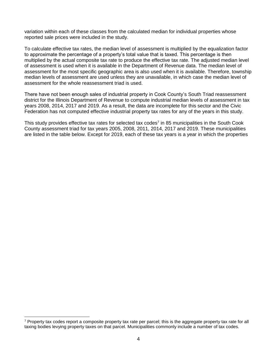variation within each of these classes from the calculated median for individual properties whose reported sale prices were included in the study.

To calculate effective tax rates, the median level of assessment is multiplied by the equalization factor to approximate the percentage of a property's total value that is taxed. This percentage is then multiplied by the actual composite tax rate to produce the effective tax rate. The adjusted median level of assessment is used when it is available in the Department of Revenue data. The median level of assessment for the most specific geographic area is also used when it is available. Therefore, township median levels of assessment are used unless they are unavailable, in which case the median level of assessment for the whole reassessment triad is used.

There have not been enough sales of industrial property in Cook County's South Triad reassessment district for the Illinois Department of Revenue to compute industrial median levels of assessment in tax years 2008, 2014, 2017 and 2019. As a result, the data are incomplete for this sector and the Civic Federation has not computed effective industrial property tax rates for any of the years in this study.

This study provides effective tax rates for selected tax codes<sup>7</sup> in 85 municipalities in the South Cook County assessment triad for tax years 2005, 2008, 2011, 2014, 2017 and 2019. These municipalities are listed in the table below. Except for 2019, each of these tax years is a year in which the properties

 $\overline{a}$ 

<sup>&</sup>lt;sup>7</sup> Property tax codes report a composite property tax rate per parcel; this is the aggregate property tax rate for all taxing bodies levying property taxes on that parcel. Municipalities commonly include a number of tax codes.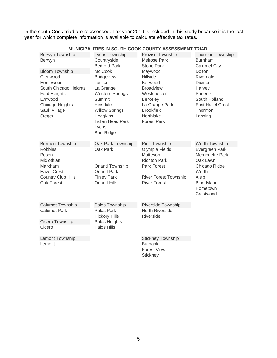in the south Cook triad are reassessed. Tax year 2019 is included in this study because it is the last year for which complete information is available to calculate effective tax rates.

|                           |                         | <u>IVIUNICIPALITIES IN SUUTH CUUN CUUNTI ASSESSIVIENT</u> | INIAD                   |
|---------------------------|-------------------------|-----------------------------------------------------------|-------------------------|
| Berwyn Township           | Lyons Township          | Proviso Township                                          | Thornton Township       |
| Berwyn                    | Countryside             | <b>Melrose Park</b>                                       | <b>Burnham</b>          |
|                           | <b>Bedford Park</b>     | <b>Stone Park</b>                                         | <b>Calumet City</b>     |
| <b>Bloom Township</b>     | Mc Cook                 | Maywood                                                   | <b>Dolton</b>           |
| Glenwood                  | Bridgeview              | <b>Hillside</b>                                           | Riverdale               |
| Homewood                  | Justice                 | Bellwood                                                  | Dixmoor                 |
| South Chicago Heights     | La Grange               | <b>Broadview</b>                                          | Harvey                  |
| Ford Heights              | <b>Western Springs</b>  | Westchester                                               | Phoenix                 |
| Lynwood                   | Summit                  | Berkeley                                                  | South Holland           |
| Chicago Heights           | Hinsdale                | La Grange Park                                            | <b>East Hazel Crest</b> |
| Sauk Village              | <b>Willow Springs</b>   | <b>Brookfield</b>                                         | Thornton                |
| Steger                    | Hodgkins                | Northlake                                                 | Lansing                 |
|                           | <b>Indian Head Park</b> | <b>Forest Park</b>                                        |                         |
|                           | Lyons                   |                                                           |                         |
|                           | <b>Burr Ridge</b>       |                                                           |                         |
| <b>Bremen Township</b>    | Oak Park Township       | <b>Rich Township</b>                                      | Worth Township          |
| <b>Robbins</b>            | Oak Park                | Olympia Fields                                            | Evergreen Park          |
| Posen                     |                         | Matteson                                                  | Merrionette Park        |
| Midlothian                |                         | <b>Richton Park</b>                                       | Oak Lawn                |
| Markham                   | Orland Township         | Park Forest                                               | Chicago Ridge           |
| <b>Hazel Crest</b>        | <b>Orland Park</b>      |                                                           | Worth                   |
| <b>Country Club Hills</b> | <b>Tinley Park</b>      | <b>River Forest Township</b>                              | Alsip                   |
| Oak Forest                | <b>Orland Hills</b>     | <b>River Forest</b>                                       | <b>Blue Island</b>      |
|                           |                         |                                                           | Hometown                |
|                           |                         |                                                           | Crestwood               |
|                           |                         |                                                           |                         |
| <b>Calumet Township</b>   | Palos Township          | <b>Riverside Township</b>                                 |                         |
| <b>Calumet Park</b>       | Palos Park              | North Riverside                                           |                         |
|                           | <b>Hickory Hills</b>    | Riverside                                                 |                         |
| Cicero Township           | Palos Heights           |                                                           |                         |
| Cicero                    | Palos Hills             |                                                           |                         |
| Lemont Township           |                         | <b>Stickney Township</b>                                  |                         |
| Lemont                    |                         | <b>Burbank</b>                                            |                         |
|                           |                         | <b>Forest View</b>                                        |                         |
|                           |                         | Stickney                                                  |                         |

#### **MUNICIPALITIES IN SOUTH COOK COUNTY ASSESSMENT TRIAD**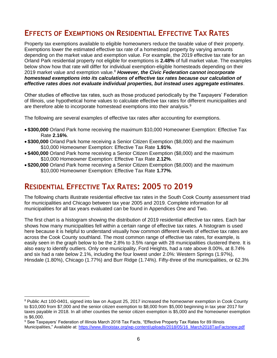# <span id="page-7-0"></span>**EFFECTS OF EXEMPTIONS ON RESIDENTIAL EFFECTIVE TAX RATES**

Property tax exemptions available to eligible homeowners reduce the taxable value of their property. Exemptions lower the estimated effective tax rate of a homestead property by varying amounts depending on the market value and exemption value. For example, the 2019 effective tax rate for an Orland Park residential property not eligible for exemptions is **2.48%** of full market value. The examples below show how that rate will differ for individual exemption-eligible homesteads depending on their 2019 market value and exemption value.<sup>8</sup> However, the Civic Federation cannot incorporate *homestead exemptions into its calculations of effective tax rates because our calculation of effective rates does not evaluate individual properties, but instead uses aggregate estimates*.

Other studies of effective tax rates, such as those produced periodically by the Taxpayers' Federation of Illinois, use hypothetical home values to calculate effective tax rates for different municipalities and are therefore able to incorporate homestead exemptions into their analysis.<sup>9</sup>

The following are several examples of effective tax rates after accounting for exemptions.

- **\$300,000** Orland Park home receiving the maximum \$10,000 Homeowner Exemption: Effective Tax Rate **2.16%**.
- **\$300,000** Orland Park home receiving a Senior Citizen Exemption (\$8,000) and the maximum \$10,000 Homeowner Exemption: Effective Tax Rate **1.91%**.
- **\$400,000** Orland Park home receiving a Senior Citizen Exemption (\$8,000) and the maximum \$10,000 Homeowner Exemption: Effective Tax Rate **2.12%**.
- **\$200,000** Orland Park home receiving a Senior Citizen Exemption (\$8,000) and the maximum \$10,000 Homeowner Exemption: Effective Tax Rate **1.77%**.

## <span id="page-7-1"></span>**RESIDENTIAL EFFECTIVE TAX RATES: 2005 TO 2019**

 $\overline{a}$ 

The following charts illustrate residential effective tax rates in the South Cook County assessment triad for municipalities and Chicago between tax year 2005 and 2019. Complete information for all municipalities for all tax years evaluated can be found in Appendices One and Two.

The first chart is a histogram showing the distribution of 2019 residential effective tax rates. Each bar shows how many municipalities fell within a certain range of effective tax rates. A histogram is used here because it is helpful to understand visually how common different levels of effective tax rates are across the Cook County southland. The most common range of effective tax rates, for example, is easily seen in the graph below to be the 2.8% to 3.5% range with 28 municipalities clustered there. It is also easy to identify outliers. Only one municipality, Ford Heights, had a rate above 8.00%, at 8.74% and six had a rate below 2.1%, including the four lowest under 2.0%: Western Springs (1.97%), Hinsdale (1.80%), Chicago (1.77%) and Burr Ridge (1.74%). Fifty-three of the municipalities, or 62.3%

<sup>&</sup>lt;sup>8</sup> Public Act 100-0401, signed into law on August 25, 2017 increased the homeowner exemption in Cook County to \$10,000 from \$7,000 and the senior citizen exemption to \$8,000 from \$5,000 beginning in tax year 2017 for taxes payable in 2018. In all other counties the senior citizen exemption is \$5,000 and the homeowner exemption is \$6,000.

<sup>9</sup> See Taxpayers' Federation of Illinois March 2018 Tax Facts, "Effective Property Tax Rates for 89 Illinois Municipalities," Available at: [https://www.illinoistax.org/wp-content/uploads/2018/05/16\\_March2018TaxFactsnew.pdf](https://www.illinoistax.org/wp-content/uploads/2018/05/16_March2018TaxFactsnew.pdf)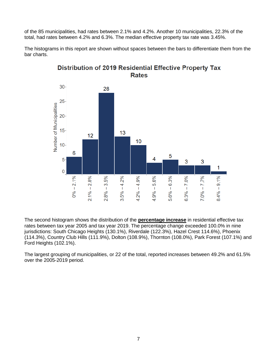of the 85 municipalities, had rates between 2.1% and 4.2%. Another 10 municipalities, 22.3% of the total, had rates between 4.2% and 6.3%. The median effective property tax rate was 3.45%.

The histograms in this report are shown without spaces between the bars to differentiate them from the bar charts.



**Distribution of 2019 Residential Effective Property Tax Rates** 

The second histogram shows the distribution of the **percentage increase** in residential effective tax rates between tax year 2005 and tax year 2019. The percentage change exceeded 100.0% in nine jurisdictions: South Chicago Heights (130.1%), Riverdale (122.3%), Hazel Crest 114.6%), Phoenix (114.3%), Country Club Hills (111.9%), Dolton (108.9%), Thornton (108.0%), Park Forest (107.1%) and Ford Heights (102.1%).

The largest grouping of municipalities, or 22 of the total, reported increases between 49.2% and 61.5% over the 2005-2019 period.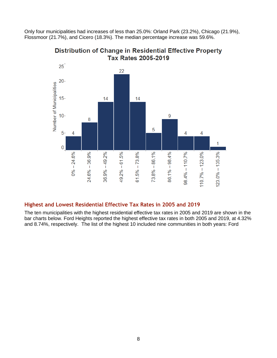Only four municipalities had increases of less than 25.0%: Orland Park (23.2%), Chicago (21.9%), Flossmoor (21.7%), and Cicero (18.3%). The median percentage increase was 59.6%.



**Distribution of Change in Residential Effective Property Tax Rates 2005-2019** 

#### <span id="page-9-0"></span>**Highest and Lowest Residential Effective Tax Rates in 2005 and 2019**

The ten municipalities with the highest residential effective tax rates in 2005 and 2019 are shown in the bar charts below. Ford Heights reported the highest effective tax rates in both 2005 and 2019, at 4.32% and 8.74%, respectively. The list of the highest 10 included nine communities in both years: Ford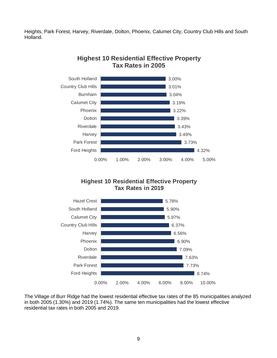Heights, Park Forest, Harvey, Riverdale, Dolton, Phoenix, Calumet City, Country Club Hills and South Holland.



#### **Highest 10 Residential Effective Property Tax Rates in 2005**

#### **Highest 10 Residential Effective Property Tax Rates in 2019**



The Village of Burr Ridge had the lowest residential effective tax rates of the 85 municipalities analyzed in both 2005 (1.30%) and 2019 (1.74%). The same ten municipalities had the lowest effective residential tax rates in both 2005 and 2019.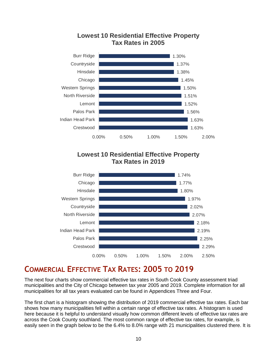

### **Lowest 10 Residential Effective Property Tax Rates in 2005**

#### **Lowest 10 Residential Effective Property Tax Rates in 2019**



# <span id="page-11-0"></span>**COMMERCIAL EFFECTIVE TAX RATES: 2005 TO 2019**

The next four charts show commercial effective tax rates in South Cook County assessment triad municipalities and the City of Chicago between tax year 2005 and 2019. Complete information for all municipalities for all tax years evaluated can be found in Appendices Three and Four.

The first chart is a histogram showing the distribution of 2019 commercial effective tax rates. Each bar shows how many municipalities fell within a certain range of effective tax rates. A histogram is used here because it is helpful to understand visually how common different levels of effective tax rates are across the Cook County southland. The most common range of effective tax rates, for example, is easily seen in the graph below to be the 6.4% to 8.0% range with 21 municipalities clustered there. It is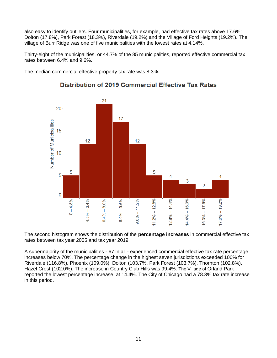also easy to identify outliers. Four municipalities, for example, had effective tax rates above 17.6%: Dolton (17.8%), Park Forest (18.3%), Riverdale (19.2%) and the Village of Ford Heights (19.2%). The village of Burr Ridge was one of five municipalities with the lowest rates at 4.14%.

Thirty-eight of the municipalities, or 44.7% of the 85 municipalities, reported effective commercial tax rates between 6.4% and 9.6%.

The median commercial effective property tax rate was 8.3%.



#### **Distribution of 2019 Commercial Effective Tax Rates**

The second histogram shows the distribution of the **percentage increases** in commercial effective tax rates between tax year 2005 and tax year 2019

A supermajority of the municipalities - 67 in all - experienced commercial effective tax rate percentage increases below 70%. The percentage change in the highest seven jurisdictions exceeded 100% for Riverdale (116.8%), Phoenix (109.0%), Dolton (103.7%, Park Forest (103.7%), Thornton (102.8%), Hazel Crest (102.0%). The increase in Country Club Hills was 99.4%. The Village of Orland Park reported the lowest percentage increase, at 14.4%. The City of Chicago had a 78.3% tax rate increase in this period.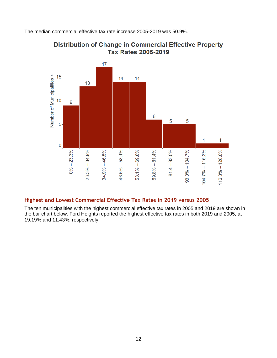The median commercial effective tax rate increase 2005-2019 was 50.9%.



#### **Distribution of Change in Commercial Effective Property Tax Rates 2005-2019**

#### <span id="page-13-0"></span>**Highest and Lowest Commercial Effective Tax Rates in 2019 versus 2005**

The ten municipalities with the highest commercial effective tax rates in 2005 and 2019 are shown in the bar chart below. Ford Heights reported the highest effective tax rates in both 2019 and 2005, at 19.19% and 11.43%, respectively.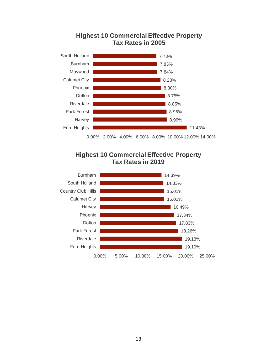

#### **Highest 10 Commercial Effective Property Tax Rates in 2005**

0.00% 2.00% 4.00% 6.00% 8.00% 10.00% 12.00% 14.00%



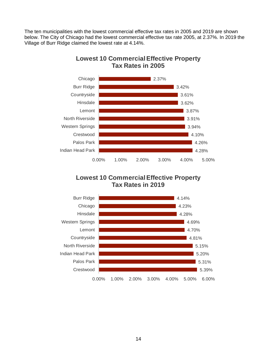The ten municipalities with the lowest commercial effective tax rates in 2005 and 2019 are shown below. The City of Chicago had the lowest commercial effective tax rate 2005, at 2.37%. In 2019 the Village of Burr Ridge claimed the lowest rate at 4.14%.



#### **Lowest 10 Commercial Effective Property Tax Rates in 2005**

#### **Lowest 10 Commercial Effective Property Tax Rates in 2019**

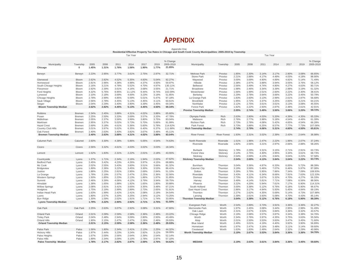#### **APPENDIX** Appendix One

<span id="page-16-0"></span>

|                               |                             |                |       |       |        |       |       |                  | Residential Effective Property Tax Rates in Chicago and South Cook County Municipalities: 2005-2019 by Township |                      |                |       |       |       |       |       |                   |  |
|-------------------------------|-----------------------------|----------------|-------|-------|--------|-------|-------|------------------|-----------------------------------------------------------------------------------------------------------------|----------------------|----------------|-------|-------|-------|-------|-------|-------------------|--|
|                               | <b>Tax Year</b><br>Tax Year |                |       |       |        |       |       |                  |                                                                                                                 |                      |                |       |       |       |       |       |                   |  |
|                               |                             |                |       |       |        |       |       |                  |                                                                                                                 |                      |                |       |       |       |       |       |                   |  |
|                               |                             |                |       |       |        |       |       | % Change         |                                                                                                                 |                      |                |       |       |       |       |       | % Change          |  |
| Municipality                  | Township                    | 2005           | 2008  | 2011  | 2014   | 2017  | 2019  | 2005-2019        | Municipality                                                                                                    | Township             | 2005           | 2008  | 2011  | 2014  | 2017  | 2019  | 2005-2019         |  |
| Chicago                       | $\mathbf{0}$                | 1.45%          | 1.31% | 1.76% | 1.56%  | 1.90% | 1.77% | 21.85%           |                                                                                                                 |                      |                |       |       |       |       |       |                   |  |
|                               |                             |                |       |       |        |       |       |                  |                                                                                                                 |                      |                |       |       |       |       |       |                   |  |
| Berwyn                        | Berwyn                      | 2.23%          | 2.95% | 3.77% | 3.61%  | 2.75% | 2.97% | 32.71%           | Melrose Park                                                                                                    | Proviso              | 1.85%          | 2.30% | 3.14% | 3.17% | 2.90% | 3.08% | 66.65%            |  |
|                               |                             |                |       |       |        |       |       |                  | Stone Park                                                                                                      | Proviso              | 2.21%          | 2.88% | 4.17% | 4.49% | 4.03% | 4.18% | 88.90%            |  |
| Glenwood                      | Bloom                       | 2.62%          | 2.82% | 4.52% | 5.35%  | 4.83% | 5.04% | 92.27%           | Maywood                                                                                                         | Proviso              | 3.00%          | 3.69% | 4.90% | 4.89% | 4.82% | 5.14% | 71.49%            |  |
| Homewood                      | Bloom                       | 2.81%          | 2.96% | 4.38% | 4.98%  | 4.37% | 4.50% | 59.97%           | Hillside                                                                                                        | Proviso              | 2.38%          | 2.97% | 3.88% | 3.94% | 3.55% | 3.76% | 58.12%            |  |
| South Chicago Heights         | Bloom                       | 2.16%          | 3.21% | 4.78% | 5.52%  | 4.70% | 4.97% | 130.11%          | Bellwood                                                                                                        | Proviso              | 2.56%          | 3.49% | 4.74% | 4.80% | 4.27% | 4.63% | 80.71%            |  |
| Flossmoor                     | Bloom                       | 2.92%          | 2.39% | 3.61% | 4.16%  | 3.68% | 3.55% | 21.71%           | Broadview                                                                                                       | Proviso              | 1.98%          | 2.46% | 3.34% | 3.39% | 2.98% | 3.19% | 61.32%            |  |
| Ford Heights                  | Bloom                       | 4.32%          | 5.76% | 8.95% | 11.12% | 9.44% | 8.74% | 102.09%          | Westchester                                                                                                     | Proviso              | 1.66%          | 1.99% | 2.51% | 2.60% | 2.22% | 2.30% | 38.41%            |  |
| Lynwood                       | Bloom                       | 2.10%          | 2.18% | 3.69% | 4.00%  | 3.23% | 3.19% | 51.85%           | Berkeley                                                                                                        | Proviso              | 2.29%          | 2.78% | 3.64% | 3.66% | 3.22% | 3.45% | 50.79%            |  |
| Chicago Heights               | Bloom                       | 2.78%          | 2.99% | 4.85% | 5.59%  | 5.01% | 5.47% | 97.18%           | La Grange Park                                                                                                  | Proviso              | 1.83%          | 2.60% | 3.13% | 2.99% | 2.61% | 2.87% | 56.68%            |  |
| Sauk Village                  | Bloom                       | 2.56%          | 2.78% | 4.45% | 5.13%  | 4.45% | 4.11% | 60.61%           | <b>Brookfield</b>                                                                                               | Proviso              | 1.95%          | 2.72% | 3.37% | 3.25% | 2.83% | 3.21% | 64.21%            |  |
| Steger                        | Bloom                       | 2.04%          | 2.29% | 3.40% | 3.90%  | 3.39% | 3.45% | 69.34%           | Northlake                                                                                                       | Proviso              | 2.12%          | 2.75% | 3.61% | 3.61% | 3.13% | 3.08% | 45.55%            |  |
| <b>Bloom Township Median</b>  |                             | 2.62%          | 2.82% | 4.45% | 5.13%  | 4.45% | 4.50% | 69.34%           | <b>Forest Park</b>                                                                                              | Proviso              | 1.82%          | 2.22% | 2.93% | 2.87% | 2.48% | 2.61% | 42.91%            |  |
|                               |                             |                |       |       |        |       |       |                  | <b>Proviso Township Median</b>                                                                                  |                      | 2.05%          | 2.74% | 3.49% | 3.50% | 3.06% | 3.20% | 59.72%            |  |
| Robbins                       | Bremen                      | 2.34%          | 2.45% | 3.88% | 4.31%  | 4.02% | 3.88% | 65.60%           |                                                                                                                 |                      |                |       |       |       |       |       |                   |  |
| Posen                         | Bremen                      | 2.25%          | 2.50% | 3.33% | 3.69%  | 3.57% | 3.33% | 47.78%           | Olympia Fields                                                                                                  | Rich                 | 2.63%          | 2.80% | 4.03% | 5.20% | 4.39% | 4.35% | 65.33%            |  |
| Midlothian                    | Bremen                      | 2.05%          | 2.37% | 3.56% | 3.99%  | 3.80% | 3.75% | 83.04%           | Matteson                                                                                                        | Rich                 | 2.76%          | 2.77% | 3.98% | 5.18% | 4.54% | 4.46% | 61.39%            |  |
| Markham                       | Bremen                      | 2.95%          | 3.37% | 5.02% | 5.73%  | 5.70% | 5.66% | 91.99%           | <b>Richton Park</b>                                                                                             | Rich                 | 2.73%          | 2.78% | 4.08% | 5.42% | 4.65% | 4.54% | 66.28%            |  |
| <b>Hazel Crest</b>            | Bremen                      | 2.69%          | 3.18% | 4.61% | 5.36%  | 5.60% | 5.78% | 114.62%          | Park Forest                                                                                                     | Rich                 | 3.73%          | 3.88% | 6.25% | 8.57% | 7.77% | 7.73% | 107.06%           |  |
| Country Club Hills            | Bremen                      | 3.01%          | 3.97% | 5.62% | 6.35%  | 6.40% | 6.37% | 111.88%          | <b>Rich Township Median</b>                                                                                     |                      | 2.74%          | 2.79% | 4.06% | 5.31% | 4.60% | 4.50% | 65.81%            |  |
| Oak Forest                    | Bremen                      | 2.40%          | 2.63% | 3.40% | 3.82%  | 3.67% | 3.48% | 45.11%           |                                                                                                                 |                      |                |       |       |       |       |       |                   |  |
| <b>Bremen Township Median</b> |                             | 2.40%          | 2.63% | 3.88% | 4.31%  | 4.02% | 3.88% | 83.04%           | <b>River Forest</b>                                                                                             | <b>River Forest</b>  | 1.93%          | 2.31% | 3.02% | 2.39% | 2.43% | 2.64% | 36.98%            |  |
|                               |                             |                |       |       |        |       |       |                  |                                                                                                                 |                      |                |       |       |       |       |       |                   |  |
| Calumet Park                  | Calumet                     | 2.60%          | 3.30% | 4.38% | 5.86%  | 5.05% | 4.54% | 74.63%           | North Riverside                                                                                                 | Riverside            | 1.51%          | 1.96% | 2.47% | 2.22% | 1.96% | 2.07% | 37.24%            |  |
|                               |                             |                |       |       |        |       |       |                  | Riverside                                                                                                       | Riverside            | 1.82%          | 2.56% | 3.21% | 2.97% | 2.66% | 2.88% | 58.26%            |  |
| Cicero                        | Cicero                      | 2.56%          | 3.32% | 4.61% | 4.03%  | 3.02% | 3.03% | 18.34%           |                                                                                                                 |                      |                |       |       |       |       |       |                   |  |
|                               |                             |                |       |       |        |       |       |                  | Burbank                                                                                                         | Stickney             | 1.78%          | 2.29% | 3.31% | 3.15% | 2.71% | 2.91% | 63.73%            |  |
| Lemont                        | Lemont                      | 1.52%          | 1.83% | 2.31% | 2.22%  | 2.01% | 2.18% | 43.55%           | <b>Forest View</b>                                                                                              | Stickney             | 2.14%          | 2.75% | 4.30% | 3.95% | 3.34% | 3.61% | 68.73%            |  |
|                               |                             |                |       |       |        |       |       |                  | Stickney                                                                                                        | Stickney             | 2.04%          | 2.69% | 4.13% | 3.84% | 3.04% | 3.22% | 57.58%            |  |
| Countryside                   | Lyons                       | 1.37%          | 1.71% | 2.34% | 2.16%  | 1.94% | 2.02% | 47.62%           | <b>Stickney Township Median</b>                                                                                 |                      | 2.04%          | 2.69% | 4.13% | 3.84% | 3.04% | 3.22% | 63.73%            |  |
| <b>Bedford Park</b>           | Lyons                       | 2.45%          | 3.42% | 4.23% | 4.26%  | 3.97% | 4.15% | 68.88%           |                                                                                                                 |                      |                |       |       |       |       |       |                   |  |
| Mc Cook                       | Lyons                       | 2.02%          | 2.55% | 3.43% | 3.60%  | 3.51% | 3.66% | 81.32%           | Burnham                                                                                                         | Thornton             | 3.04%          | 3.36% | 4.87% | 6.33% | 6.00% | 5.72% | 88.39%            |  |
| Bridgeview                    | Lyons                       | 1.89%          | 2.36% | 3.22% | 3.45%  | 3.30% | 3.53% | 86.41%           | Calumet City                                                                                                    | Thornton             | 3.19%          | 3.56% | 5.46% | 7.07% | 6.46% | 5.97% | 87.08%            |  |
| Justice                       | Lyons                       | 1.88%          | 2.25% | 2.81% | 2.95%  | 2.69% | 2.84% | 51.10%           | Dolton                                                                                                          | Thornton             | 3.39%          | 3.79% | 5.95% | 7.86% | 7.34% | 7.09% | 108.93%           |  |
|                               |                             | 1.78%          | 2.19% | 2.57% | 2.47%  | 2.25% | 2.36% | 32.56%           | Riverdale                                                                                                       | Thornton             | 3.43%          | 4.11% | 6.34% | 8.66% | 7.91% | 7.63% | 122.33%           |  |
| La Grange                     | Lyons                       |                | 1.85% | 2.23% | 2.13%  | 1.86% | 1.97% | 31.85%           |                                                                                                                 |                      |                | 3.33% | 3.67% | 5.32% | 4.70% | 4.27% | 56.33%            |  |
| <b>Western Springs</b>        | Lyons                       | 1.50%<br>2.46% | 3.39% | 4.06% | 4.12%  | 3.79% | 3.94% | 59.75%           | Dixmoor                                                                                                         | Thornton             | 2.73%<br>3.49% | 4.14% | 5.81% | 7.71% | 7.08% | 6.56% | 88.06%            |  |
| Summit                        | Lyons                       | 1.38%          | 1.65% | 1.88% | 1.92%  | 1.65% | 1.80% | 30.88%           | Harvey<br>Phoenix                                                                                               | Thornton<br>Thornton | 3.22%          | 4.20% | 5.94% | 7.61% | 7.17% | 6.90% | 114.31%           |  |
| Hinsdale                      | Lyons                       | 2.08%          | 2.81% | 3.41% | 3.65%  | 3.35% | 3.48% | 67.21%           | South Holland                                                                                                   | Thornton             | 3.00%          | 3.38% | 5.12% | 6.76% | 6.18% | 5.90% | 96.67%            |  |
| <b>Willow Springs</b>         | Lyons<br>Lyons              | 1.75%          | 2.19% | 2.99% | 2.89%  | 2.73% | 2.65% | 51.91%           | East Hazel Crest                                                                                                | Thornton             | 2.86%          | 3.17% | 4.84% | 5.93% | 5.45% | 4.84% | 69.19%            |  |
| Hodgkins                      |                             |                |       |       |        | 2.08% |       | 34.54%           |                                                                                                                 |                      | 2.27%          | 2.62% | 4.35% |       |       | 4.73% |                   |  |
| Indian Head Park              | Lyons                       | 1.63%          | 1.99% | 2.42% | 2.41%  |       | 2.19% |                  | Thornton                                                                                                        | Thornton             |                |       |       | 5.69% | 5.14% |       | 107.98%<br>85.14% |  |
| Lyons                         | Lyons                       | 1.80%          | 2.57% | 3.20% | 3.25%  | 2.94% | 3.12% | 73.25%           | Lansing                                                                                                         | Thornton             | 2.39%          | 2.61% | 3.93% | 5.08% | 4.70% | 4.43% | 88.39%            |  |
| <b>Burr Ridge</b>             | Lyons                       | 1.30%          | 1.59% | 2.02% | 1.91%  | 1.71% | 1.74% | 33.95%<br>51.50% | <b>Thornton Township Median</b>                                                                                 |                      | 3.04%          | 3.38% | 5.12% | 6.76% | 6.18% | 5.90% |                   |  |
| <b>Lyons Township Median</b>  |                             | 1.79%          | 2.22% | 2.90% | 2.92%  | 2.71% | 2.75% |                  |                                                                                                                 |                      |                |       |       |       |       |       |                   |  |
|                               |                             |                |       |       |        |       |       |                  | Evergreen Park                                                                                                  | Worth                | 2.54%          | 2.89% | 3.73% | 3.91% | 3.36% | 3.36% | 32.27%            |  |
| Oak Park                      | Oak Park                    | 2.25%          | 2.63% | 3.07% | 2.92%  | 3.08% | 3.31% | 47.60%           | Merrionette Park                                                                                                | Worth                | 1.97%          | 2.45% | 3.08% | 3.44% | 2.95% | 2.98% | 51.49%            |  |
|                               |                             |                |       |       |        |       |       |                  | Oak Lawn                                                                                                        | Worth                | 2.31%          | 2.67% | 3.53% | 3.84% | 3.36% | 3.32% | 43.57%            |  |
| <b>Orland Park</b>            | Orland                      | 2.01%          | 2.09% | 2.59% | 2.58%  | 2.36% | 2.48% | 23.22%           | Chicago Ridge                                                                                                   | Worth                | 2.19%          | 2.68% | 3.57% | 3.87% | 3.34% | 3.38% | 54.76%            |  |
| <b>Tinley Park</b>            | Orland                      | 2.04%          | 2.48% | 2.94% | 3.09%  | 2.80% | 2.93% | 43.49%           | Worth                                                                                                           | Worth                | 2.34%          | 2.76% | 3.97% | 4.35% | 3.75% | 3.63% | 55.56%            |  |
| Orland Hills                  | Orland                      | 1.90%          | 2.15% | 2.47% | 2.47%  | 2.28% | 2.46% | 29.93%           | Alsip                                                                                                           | Worth                | 2.01%          | 2.50% | 3.53% | 3.83% | 3.47% | 3.45% | 71.60%            |  |
| <b>Orland Township Median</b> |                             | 2.01%          | 2.15% | 2.59% | 2.58%  | 2.36% | 2.48% | 29.93%           | <b>Blue Island</b>                                                                                              | Worth                | 2.49%          | 3.01% | 4.19% | 4.40% | 3.92% | 3.90% | 56.89%            |  |
|                               |                             |                |       |       |        |       |       |                  | Hometown                                                                                                        | Worth                | 1.97%          | 2.47% | 3.16% | 3.48% | 3.11% | 3.14% | 59.60%            |  |
| Palos Park                    | Palos                       | 1.56%          | 1.80% | 2.34% | 2.41%  | 2.13% | 2.25% | 44.32%           | Crestwood                                                                                                       | Worth                | 1.63%          | 1.83% | 2.49% | 2.64% | 2.32% | 2.29% | 40.98%            |  |
| <b>Hickory Hills</b>          | Palos                       | 1.97%          | 2.44% | 3.23% | 3.24%  | 2.92% | 3.12% | 58.09%           | <b>Worth Township Median</b>                                                                                    |                      | 2.19%          | 2.67% | 3.53% | 3.84% | 3.36% | 3.36% | 54.76%            |  |
| Palos Heights                 | Palos                       | 1.67%          | 2.00% | 2.56% | 2.64%  | 2.39% | 2.54% | 52.14%           |                                                                                                                 |                      |                |       |       |       |       |       |                   |  |
| Palos Hills                   | Palos                       | 1.89%          | 2.34% | 3.09% | 3.10%  | 2.78% | 2.97% | 57.10%           |                                                                                                                 |                      |                |       |       |       |       |       |                   |  |
| Palos Township Median         |                             | 1.78%          | 2.17% | 2.82% | 2.87%  | 2.59% | 2.76% | 54.62%           | <b>MEDIAN</b>                                                                                                   |                      | 2.19%          | 2.63% | 3.61% | 3.84% | 3.36% | 3.45% | 59.60%            |  |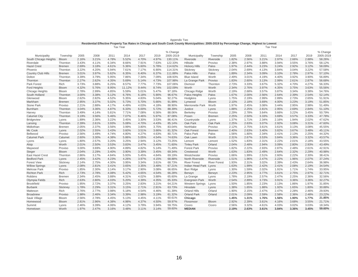|                           |               |                                    |       |       |        |       |       |           | Residential Effective Property Tax Rates in Chicago and South Cook County Municipalities: 2005-2019 by Percentage Change, Highest to Lowest |                     |       |       |       |       |       |       |           |
|---------------------------|---------------|------------------------------------|-------|-------|--------|-------|-------|-----------|---------------------------------------------------------------------------------------------------------------------------------------------|---------------------|-------|-------|-------|-------|-------|-------|-----------|
|                           |               | <b>Tax Year</b><br><b>Tax Year</b> |       |       |        |       |       |           |                                                                                                                                             |                     |       |       |       |       |       |       |           |
|                           |               |                                    |       |       |        |       |       | % Change  |                                                                                                                                             |                     |       |       |       |       |       |       | % Change  |
| Municipality              | Township      | 2005                               | 2008  | 2011  | 2014   | 2017  | 2019  | 2005-2019 | Municipality                                                                                                                                | Township            | 2005  | 2008  | 2011  | 2014  | 2017  | 2019  | 2005-2019 |
| South Chicago Heights     | <b>Bloom</b>  | 2.16%                              | 3.21% | 4.78% | 5.52%  | 4.70% | 4.97% | 130.11%   | Riverside                                                                                                                                   | Riverside           | 1.82% | 2.56% | 3.21% | 2.97% | 2.66% | 2.88% | 58.26%    |
| Riverdale                 | Thornton      | 3.43%                              | 4.11% | 6.34% | 8.66%  | 7.91% | 7.63% | 122.33%   | Hillside                                                                                                                                    | Proviso             | 2.38% | 2.97% | 3.88% | 3.94% | 3.55% | 3.76% | 58.12%    |
| <b>Hazel Crest</b>        | Bremen        | 2.69%                              | 3.18% | 4.61% | 5.36%  | 5.60% | 5.78% | 114.62%   | <b>Hickory Hills</b>                                                                                                                        | Palos               | 1.97% | 2.44% | 3.23% | 3.24% | 2.92% | 3.12% | 58.09%    |
| Phoenix                   | Thornton      | 3.22%                              | 4.20% | 5.94% | 7.61%  | 7.17% | 6.90% | 114.31%   | Stickney                                                                                                                                    | Stickney            | 2.04% | 2.69% | 4.13% | 3.84% | 3.04% | 3.22% | 57.58%    |
| <b>Country Club Hills</b> | Bremen        | 3.01%                              | 3.97% | 5.62% | 6.35%  | 6.40% | 6.37% | 111.88%   | Palos Hills                                                                                                                                 | Palos               | 1.89% | 2.34% | 3.09% | 3.10% | 2.78% | 2.97% | 57.10%    |
| Dolton                    | Thornton      | 3.39%                              | 3.79% | 5.95% | 7.86%  | 7.34% | 7.09% | 108.93%   | <b>Blue Island</b>                                                                                                                          | Worth               | 2.49% | 3.01% | 4.19% | 4.40% | 3.92% | 3.90% | 56.89%    |
| Thornton                  | Thornton      | 2.27%                              | 2.62% | 4.35% | 5.69%  | 5.14% | 4.73% | 107.98%   | La Grange Park                                                                                                                              | Proviso             | 1.83% | 2.60% | 3.13% | 2.99% | 2.61% | 2.87% | 56.68%    |
| Park Forest               | Rich          | 3.73%                              | 3.88% | 6.25% | 8.57%  | 7.77% | 7.73% | 107.06%   | Dixmoor                                                                                                                                     | Thornton            | 2.73% | 3.33% | 3.67% | 5.32% | 4.70% | 4.27% | 56.33%    |
| <b>Ford Heights</b>       | Bloom         | 4.32%                              | 5.76% | 8.95% | 11.12% | 9.44% | 8.74% | 102.09%   | Worth                                                                                                                                       | Worth               | 2.34% | 2.76% | 3.97% | 4.35% | 3.75% | 3.63% | 55.56%    |
| Chicago Heights           | Bloom         | 2.78%                              | 2.99% | 4.85% | 5.59%  | 5.01% | 5.47% | 97.18%    | Chicago Ridge                                                                                                                               | Worth               | 2.19% | 2.68% | 3.57% | 3.87% | 3.34% | 3.38% | 54.76%    |
| South Holland             | Thornton      | 3.00%                              | 3.38% | 5.12% | 6.76%  | 6.18% | 5.90% | 96.67%    | Palos Heights                                                                                                                               | Palos               | 1.67% | 2.00% | 2.56% | 2.64% | 2.39% | 2.54% | 52.14%    |
| Glenwood                  | Bloom         | 2.62%                              | 2.82% | 4.52% | 5.35%  | 4.83% | 5.04% | 92.27%    | Hodgkins                                                                                                                                    | Lyons               | 1.75% | 2.19% | 2.99% | 2.89% | 2.73% | 2.65% | 51.91%    |
| Markham                   | <b>Bremen</b> | 2.95%                              | 3.37% | 5.02% | 5.73%  | 5.70% | 5.66% | 91.99%    | Lynwood                                                                                                                                     | Bloom               | 2.10% | 2.18% | 3.69% | 4.00% | 3.23% | 3.19% | 51.85%    |
| <b>Stone Park</b>         | Proviso       | 2.21%                              | 2.88% | 4.17% | 4.49%  | 4.03% | 4.18% | 88.90%    | <b>Merrionette Park</b>                                                                                                                     | Worth               | 1.97% | 2.45% | 3.08% | 3.44% | 2.95% | 2.98% | 51.49%    |
| <b>Burnham</b>            | Thornton      | 3.04%                              | 3.36% | 4.87% | 6.33%  | 6.00% | 5.72% | 88.39%    | Justice                                                                                                                                     | Lyons               | 1.88% | 2.25% | 2.81% | 2.95% | 2.69% | 2.84% | 51.10%    |
| Harvey                    | Thornton      | 3.49%                              | 4.14% | 5.81% | 7.71%  | 7.08% | 6.56% | 88.06%    | Berkeley                                                                                                                                    | Proviso             | 2.29% | 2.78% | 3.64% | 3.66% | 3.22% | 3.45% | 50.79%    |
| <b>Calumet City</b>       | Thornton      | 3.19%                              | 3.56% | 5.46% | 7.07%  | 6.46% | 5.97% | 87.08%    | Posen                                                                                                                                       | <b>Bremen</b>       | 2.25% | 2.50% | 3.33% | 3.69% | 3.57% | 3.33% | 47.78%    |
| Bridgeview                | Lyons         | 1.89%                              | 2.36% | 3.22% | 3.45%  | 3.30% | 3.53% | 86.41%    | Countryside                                                                                                                                 | Lyons               | 1.37% | 1.71% | 2.34% | 2.16% | 1.94% | 2.02% | 47.62%    |
| Lansing                   | Thornton      | 2.39%                              | 2.61% | 3.93% | 5.08%  | 4.70% | 4.43% | 85.14%    | Oak Park                                                                                                                                    | Oak Park            | 2.25% | 2.63% | 3.07% | 2.92% | 3.08% | 3.31% | 47.60%    |
| Midlothian                | <b>Bremen</b> | 2.05%                              | 2.37% | 3.56% | 3.99%  | 3.80% | 3.75% | 83.04%    | Northlake                                                                                                                                   | Proviso             | 2.12% | 2.75% | 3.61% | 3.61% | 3.13% | 3.08% | 45.55%    |
| Mc Cook                   | Lyons         | 2.02%                              | 2.55% | 3.43% | 3.60%  | 3.51% | 3.66% | 81.32%    | Oak Forest                                                                                                                                  | <b>Bremen</b>       | 2.40% | 2.63% | 3.40% | 3.82% | 3.67% | 3.48% | 45.11%    |
| Bellwood                  | Proviso       | 2.56%                              | 3.49% | 4.74% | 4.80%  | 4.27% | 4.63% | 80.71%    | Palos Park                                                                                                                                  | Palos               | 1.56% | 1.80% | 2.34% | 2.41% | 2.13% | 2.25% | 44.32%    |
| <b>Calumet Park</b>       | Calumet       | 2.60%                              | 3.30% | 4.38% | 5.86%  | 5.05% | 4.54% | 74.63%    | Oak Lawn                                                                                                                                    | Worth               | 2.31% | 2.67% | 3.53% | 3.84% | 3.36% | 3.32% | 43.57%    |
| Lyons                     | Lyons         | 1.80%                              | 2.57% | 3.20% | 3.25%  | 2.94% | 3.12% | 73.25%    | Lemont                                                                                                                                      | Lemont              | 1.52% | 1.83% | 2.31% | 2.22% | 2.01% | 2.18% | 43.55%    |
| Alsip                     | Worth         | 2.01%                              | 2.50% | 3.53% | 3.83%  | 3.47% | 3.45% | 71.60%    | <b>Tinley Park</b>                                                                                                                          | Orland              | 2.04% | 2.48% | 2.94% | 3.09% | 2.80% | 2.93% | 43.49%    |
| Maywood                   | Proviso       | 3.00%                              | 3.69% | 4.90% | 4.89%  | 4.82% | 5.14% | 71.49%    | <b>Forest Park</b>                                                                                                                          | Proviso             | 1.82% | 2.22% | 2.93% | 2.87% | 2.48% | 2.61% | 42.91%    |
| Steger                    | <b>Bloom</b>  | 2.04%                              | 2.29% | 3.40% | 3.90%  | 3.39% | 3.45% | 69.34%    | Crestwood                                                                                                                                   | Worth               | 1.63% | 1.83% | 2.49% | 2.64% | 2.32% | 2.29% | 40.98%    |
| <b>East Hazel Crest</b>   | Thornton      | 2.86%                              | 3.17% | 4.84% | 5.93%  | 5.45% | 4.84% | 69.19%    | Westchester                                                                                                                                 | Proviso             | 1.66% | 1.99% | 2.51% | 2.60% | 2.22% | 2.30% | 38.41%    |
| <b>Bedford Park</b>       | Lyons         | 2.45%                              | 3.42% | 4.23% | 4.26%  | 3.97% | 4.15% | 68.88%    | North Riverside                                                                                                                             | Riverside           | 1.51% | 1.96% | 2.47% | 2.22% | 1.96% | 2.07% | 37.24%    |
| <b>Forest View</b>        | Stickney      | 2.14%                              | 2.75% | 4.30% | 3.95%  | 3.34% | 3.61% | 68.73%    | <b>River Forest</b>                                                                                                                         | <b>River Forest</b> | 1.93% | 2.31% | 3.02% | 2.39% | 2.43% | 2.64% | 36.98%    |
| <b>Willow Springs</b>     | Lyons         | 2.08%                              | 2.81% | 3.41% | 3.65%  | 3.35% | 3.48% | 67.21%    | Indian Head Park                                                                                                                            | Lyons               | 1.63% | 1.99% | 2.42% | 2.41% | 2.08% | 2.19% | 34.54%    |
| Melrose Park              | Proviso       | 1.85%                              | 2.30% | 3.14% | 3.17%  | 2.90% | 3.08% | 66.65%    | <b>Burr Ridge</b>                                                                                                                           | Lyons               | 1.30% | 1.59% | 2.02% | 1.91% | 1.71% | 1.74% | 33.95%    |
| <b>Richton Park</b>       | Rich          | 2.73%                              | 2.78% | 4.08% | 5.42%  | 4.65% | 4.54% | 66.28%    | Berwyn                                                                                                                                      | Berwyn              | 2.23% | 2.95% | 3.77% | 3.61% | 2.75% | 2.97% | 32.71%    |
| Robbins                   | Bremen        | 2.34%                              | 2.45% | 3.88% | 4.31%  | 4.02% | 3.88% | 65.60%    | La Grange                                                                                                                                   | Lyons               | 1.78% | 2.19% | 2.57% | 2.47% | 2.25% | 2.36% | 32.56%    |
| Olympia Fields            | Rich          | 2.63%                              | 2.80% | 4.03% | 5.20%  | 4.39% | 4.35% | 65.33%    | Evergreen Park                                                                                                                              | Worth               | 2.54% | 2.89% | 3.73% | 3.91% | 3.36% | 3.36% | 32.27%    |
| <b>Brookfield</b>         | Proviso       | 1.95%                              | 2.72% | 3.37% | 3.25%  | 2.83% | 3.21% | 64.21%    | <b>Western Springs</b>                                                                                                                      | Lyons               | 1.50% | 1.85% | 2.23% | 2.13% | 1.86% | 1.97% | 31.85%    |
| Burbank                   | Stickney      | 1.78%                              | 2.29% | 3.31% | 3.15%  | 2.71% | 2.91% | 63.73%    | Hinsdale                                                                                                                                    | Lyons               | 1.38% | 1.65% | 1.88% | 1.92% | 1.65% | 1.80% | 30.88%    |
| Matteson                  | Rich          | 2.76%                              | 2.77% | 3.98% | 5.18%  | 4.54% | 4.46% | 61.39%    | <b>Orland Hills</b>                                                                                                                         | Orland              | 1.90% | 2.15% | 2.47% | 2.47% | 2.28% | 2.46% | 29.93%    |
| <b>Broadview</b>          | Proviso       | 1.98%                              | 2.46% | 3.34% | 3.39%  | 2.98% | 3.19% | 61.32%    | <b>Orland Park</b>                                                                                                                          | Orland              | 2.01% | 2.09% | 2.59% | 2.58% | 2.36% | 2.48% | 23.22%    |
| Sauk Village              | Bloom         | 2.56%                              | 2.78% | 4.45% | 5.13%  | 4.45% | 4.11% | 60.61%    | Chicago                                                                                                                                     |                     | 1.45% | 1.31% | 1.76% | 1.56% | 1.90% | 1.77% | 21.85%    |
| Homewood                  | <b>Bloom</b>  | 2.81%                              | 2.96% | 4.38% | 4.98%  | 4.37% | 4.50% | 59.97%    | Flossmoor                                                                                                                                   | <b>Bloom</b>        | 2.92% | 2.39% | 3.61% | 4.16% | 3.68% | 3.55% | 21.71%    |
| Summit                    | Lyons         | 2.46%                              | 3.39% | 4.06% | 4.12%  | 3.79% | 3.94% | 59.75%    | Cicero                                                                                                                                      | Cicero              | 2.56% | 3.32% | 4.61% | 4.03% | 3.02% | 3.03% | 18.34%    |
| Hometown                  | Worth         | 1.97%                              | 2.47% | 3.16% | 3.48%  | 3.11% | 3.14% | 59.60%    | <b>MEDIAN</b>                                                                                                                               |                     | 2.19% | 2.63% | 3.61% | 3.84% | 3.36% | 3.45% | 59.60%    |

|                                                                                                                                         | Appendix Two |  |  |  |
|-----------------------------------------------------------------------------------------------------------------------------------------|--------------|--|--|--|
| sidential Effective Property Tax Rates in Chicago and South Cook County Municipalities: 2005-2019 by Percentage Change, Highest to Lowe |              |  |  |  |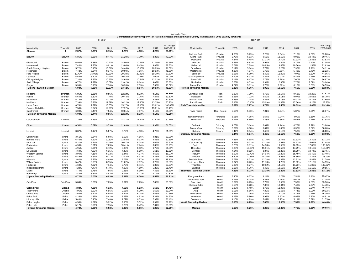|                               |                  |        | Tax Year |        |        |        |        |           | Tax Year                        |                     |       |        |        |        |        |        |           |  |
|-------------------------------|------------------|--------|----------|--------|--------|--------|--------|-----------|---------------------------------|---------------------|-------|--------|--------|--------|--------|--------|-----------|--|
|                               |                  |        |          |        |        |        |        |           |                                 |                     |       |        |        |        |        |        |           |  |
|                               |                  |        |          |        |        |        |        | % Change  |                                 |                     |       |        |        |        |        |        | % Change  |  |
| Municipality                  | Township         | 2005   | 2008     | 2011   | 2014   | 2017   | 2019   | 2005-2019 | Municipality                    | Township            | 2005  | 2008   | 2011   | 2014   | 2017   | 2019   | 2005-2019 |  |
| Chicago                       | $\Omega$         | 2.37%  | 2.35%    | 3.75%  | 4.29%  | 4.53%  | 4.23%  | 78.29%    |                                 |                     |       |        |        |        |        |        |           |  |
|                               |                  |        |          |        |        |        |        |           | Melrose Park                    | Proviso             | 4.83% | 5.29%  | 7.26%  | 9.54%  | 7.18%  | 7.69%  | 59.20%    |  |
| Berwyn                        | Berwyn           | 5.86%  | 6.26%    | 8.47%  | 11.20% | 7.70%  | 8.39%  | 43.21%    | Stone Park                      | Proviso             | 5.78% | 6.61%  | 9.62%  | 13.50% | 9.98%  | 10.44% | 80.46%    |  |
|                               |                  |        |          |        |        |        |        |           | Maywood                         | Proviso             | 7.84% | 8.48%  | 11.31% | 14.70% | 11.92% | 12.85% | 63.83%    |  |
| Glenwood                      | Bloom            | 6.93%  | 7.38%    | 10.22% | 14.00% | 10.46% | 11.06% | 59.66%    | Hillside                        | Proviso             | 6.23% | 6.83%  | 8.95%  | 11.84% | 8.79%  | 9.40%  | 51.05%    |  |
| Homewood                      | Bloom            | 7.44%  | 7.73%    | 9.91%  | 13.04% | 9.45%  | 9.88%  | 32.83%    | Bellwood                        | Proviso             | 6.71% | 7.79%  | 10.95% | 14.46% | 10.56% | 11.58% | 72.63%    |  |
| South Chicago Heights         | Bloom            | 5.72%  | 8.40%    | 10.81% | 14.44% | 10.18% | 10.93% | 91.08%    | Broadview                       | Proviso             | 5.17% | 5.64%  | 7.72%  | 10.20% | 7.36%  | 7.96%  | 54.11%    |  |
| Flossmoor                     | Bloom            | 7.72%  | 6.24%    | 8.17%  | 10.90% | 7.96%  | 10.93% | 41.61%    | Westchester                     | Proviso             | 4.35% | 4.57%  | 5.79%  | 7.81%  | 5.49%  | 5.75%  | 32.22%    |  |
| Ford Heights                  | Bloom            | 11.43% | 15.05%   | 20.23% | 29.10% | 20.43% | 19.19% | 67.81%    | Berkeley                        | Proviso             | 5.98% | 6.39%  | 8.40%  | 11.00% | 7.97%  | 8.62%  | 44.06%    |  |
| Lynwood                       | Bloom            | 5.55%  | 5.70%    | 8.35%  | 10.48% | 7.00%  | 7.00%  | 26.09%    | La Grange Park                  | Proviso             | 4.79% | 5.97%  | 7.22%  | 9.01%  | 6.47%  | 7.16%  | 49.68%    |  |
| Chicago Heights               | Bloom            | 7.34%  | 7.82%    | 10.97% | 14.64% | 10.84% | 12.02% | 63.73%    | <b>Brookfield</b>               | Proviso             | 5.11% | 6.47%  | 7.78%  | 9.79%  | 7.00%  | 8.02%  | 56.87%    |  |
| Sauk Village                  | <b>Bloom</b>     | 6.77%  | 7.27%    | 10.07% | 13.42% | 9.64%  | 9.03%  | 33.37%    | Northlake                       | Proviso             | 5.53% | 6.33%  | 8.34%  | 10.86% | 7.75%  | 7.69%  | 39.04%    |  |
| Steger                        | Bloom            | 5.39%  | 5.98%    | 7.70%  | 10.20% | 7.33%  | 7.58%  | 40.62%    | <b>Forest Park</b>              | Proviso             | 4.77% | 5.11%  | 6.76%  | 8.62%  | 6.12%  | 6.51%  | 36.53%    |  |
| <b>Bloom Township Median</b>  |                  | 6.93%  | 7.38%    | 10.07% | 13.42% | 9.64%  | 10.93% | 41.61%    | <b>Proviso Township Median</b>  |                     | 5.35% | 6.36%  | 8.06%  | 10.53% | 7.56%  | 7.99%  | 52.58%    |  |
|                               |                  |        |          |        |        |        |        |           |                                 |                     |       |        |        |        |        |        |           |  |
| Robbins                       | <b>Bremen</b>    | 5.86%  | 6.00%    | 8.96%  | 12.19% | 8.73%  | 9.14%  | 55.89%    | Olympia Fields                  | Rich                | 6.32% | 7.29%  | 9.72%  | 13.17% | 9.63%  | 10.28% | 62.67%    |  |
| Posen                         | Bremen           | 5.64%  | 6.12%    | 7.70%  | 10.44% | 7.76%  | 7.84%  | 39.11%    | Matteson                        | Rich                | 6.63% | 7.22%  | 9.59%  | 13.11% | 9.97%  | 10.53% | 58.79%    |  |
| Midlothian                    | Bremen           | 5.13%  | 5.81%    | 8.22%  | 11.31% | 8.26%  | 8.83%  | 72.30%    | <b>Richton Park</b>             | Rich                | 6.55% | 7.24%  | 9.86%  | 13.73% | 10.21% | 10.71% | 63.60%    |  |
| Markham                       | Bremen           | 7.39%  | 8.26%    | 11.59% | 16.22% | 12.40% | 13.35% | 80.73%    | Park Forest                     | Rich                | 8.96% | 10.10% | 15.09% | 21.68% | 17.06% | 18.26% | 103.73%   |  |
| <b>Hazel Crest</b>            | Bremen           | 6.74%  | 7.79%    | 10.65% | 15.17% | 12.16% | 13.62% | 102.03%   | <b>Rich Township Median</b>     |                     | 6.59% | 7.27%  | 9.79%  | 13.45% | 10.09% | 10.62% | 63.14%    |  |
| Country Club Hills            |                  | 7.53%  | 9.74%    | 12.98% | 17.97% | 13.90% | 15.01% | 99.45%    |                                 |                     |       |        |        |        |        |        |           |  |
| Oak Forest                    | Bremen<br>Bremen | 6.00%  | 6.44%    | 7.84%  | 10.81% | 7.97%  | 8.19%  | 36.59%    | <b>River Forest</b>             | <b>River Forest</b> | 5.16% | 5.86%  | 7.01%  | 8.04%  | 5.87%  | 6.31%  | 22.37%    |  |
| <b>Bremen Township Median</b> |                  | 6.00%  | 6.44%    | 8.96%  | 12.19% | 8.73%  | 9.14%  | 72.30%    |                                 |                     |       |        |        |        |        |        |           |  |
|                               |                  |        |          |        |        |        |        |           |                                 |                     |       |        |        |        |        |        |           |  |
|                               |                  |        |          |        |        |        |        |           | North Riverside                 | Riverside           | 3.91% | 4.35%  | 5.64%  | 7.04%  | 4.90%  | 5.15%  | 31.76%    |  |
| Calumet Park                  | Calumet          | 7.26%  | 7.73%    | 10.17% | 14.37% | 11.22% | 11.62% | 60.14%    | Riverside                       | Riverside           | 4.71% | 5.69%  | 7.33%  | 9.39%  | 6.63%  | 7.16%  | 51.94%    |  |
|                               |                  |        |          |        |        |        |        |           |                                 |                     |       |        |        | 9.14%  |        |        |           |  |
| Cicero                        | Cicero           | 6.54%  | 6.89%    | 9.73%  | 12.69% | 9.18%  | 9.92%  | 51.67%    | Burbank                         | Stickney            | 4.73% | 5.14%  | 6.81%  |        | 6.75%  | 7.29%  | 53.98%    |  |
|                               |                  |        |          |        |        |        |        |           | Forest View                     | Stickney            | 5.69% | 6.18%  | 8.84%  | 11.48% | 8.32%  | 9.02%  | 58.68%    |  |
| Lemont                        | Lemont           | 3.87%  | 4.17%    | 5.27%  | 6.72%  | 4.50%  | 4.70%  | 21.55%    | Stickney                        | Stickney            | 5.44% | 6.04%  | 8.48%  | 11.15% | 7.58%  | 8.06%  | 48.20%    |  |
|                               |                  |        |          |        |        |        |        |           | <b>Stickney Township Median</b> |                     | 5.44% | 6.04%  | 8.48%  | 11.15% | 7.58%  | 8.06%  | 53.98%    |  |
| Countryside                   | Lyons            | 3.61%  | 3.84%    | 5.60%  | 6.52%  | 4.56%  | 4.81%  | 33.20%    |                                 |                     |       |        |        |        |        |        |           |  |
| Bedford Park                  | Lyons            | 6.46%  | 7.69%    | 10.10% | 12.88% | 9.33%  | 9.85%  | 52.39%    | Burnham                         | Thornton            | 7.83% | 8.68%  | 11.76% | 15.77% | 13.12% | 14.39% | 83.72%    |  |
| Mc Cook                       | Lyons            | 5.31%  | 5.74%    | 8.19%  | 10.87% | 8.24%  | 8.69%  | 63.61%    | <b>Calumet City</b>             | Thornton            | 8.23% | 9.21%  | 13.18% | 17.61% | 14.13% | 15.01% | 82.44%    |  |
| Bridgeview                    | Lyons            | 4.98%  | 5.31%    | 7.69%  | 10.41% | 7.74%  | 8.38%  | 68.21%    | Dolton                          | Thornton            | 8.75% | 9.81%  | 14.38% | 19.58% | 16.05% | 17.83% | 103.74%   |  |
| Justice                       | Lyons            | 4.95%  | 5.06%    | 6.72%  | 8.90%  | 6.32%  | 6.75%  | 36.35%    | Riverdale                       | Thornton            | 8.85% | 10.63% | 15.31% | 21.56% | 17.29% | 19.18% | 116.81%   |  |
| La Grange                     | Lyons            | 4.69%  | 4.93%    | 6.15%  | 7.48%  | 5.29%  | 5.61%  | 19.62%    | Dixmoor                         | Thornton            | 7.04% | 8.62%  | 8.87%  | 13.25% | 10.29% | 10.74% | 52.45%    |  |
| Western Springs               | Lyons            | 3.94%  | 4.15%    | 5.32%  | 6.44%  | 4.37%  | 4.69%  | 18.97%    | Harvey                          | Thornton            | 8.99% | 10.72% | 14.04% | 19.20% | 15.49% | 16.49% | 83.40%    |  |
| Summit                        | Lyons            | 6.49%  | 7.64%    | 9.71%  | 12.44% | 8.91%  | 9.35%  | 44.15%    | Phoenix                         | Thornton            | 8.30% | 10.86% | 14.35% | 18.95% | 15.69% | 17.34% | 108.99%   |  |
| Hinsdale                      | Lyons            | 3.62%  | 3.72%    | 4.49%  | 5.79%  | 3.87%  | 4.28%  | 18.10%    | South Holland                   | Thornton            | 7.73% | 8.73%  | 12.38% | 16.82% | 13.52% | 14.83% | 91.79%    |  |
| <b>Willow Springs</b>         | Lyons            | 5.47%  | 6.33%    | 8.15%  | 11.02% | 7.87%  | 8.26%  | 50.88%    | East Hazel Crest                | Thornton            | 7.37% | 8.20%  | 11.70% | 14.78% | 11.92% | 12.16% | 64.99%    |  |
| Hodgkins                      | Lyons            | 4.60%  | 4.92%    | 7.14%  | 8.73%  | 6.41%  | 6.30%  | 37.07%    | Thornton                        | Thornton            | 5.86% | 6.77%  | 10.52% | 14.17% | 11.23% | 11.89% | 102.82%   |  |
| Indian Head Park              | Lyons            | 4.28%  | 4.47%    | 5.79%  | 7.28%  | 4.89%  | 5.20%  | 21.40%    | Lansing                         | Thornton            | 6.17% | 6.76%  | 9.49%  | 12.66% | 10.28% | 11.15% | 80.55%    |  |
| Lyons                         | Lyons            | 4.74%  | 5.78%    | 7.66%  | 9.81%  | 6.90%  | 7.42%  | 56.33%    | <b>Thornton Township Median</b> |                     | 7.83% | 8.73%  | 12.38% | 16.82% | 13.52% | 14.83% | 83.72%    |  |
| <b>Burr Ridge</b>             | Lyons            | 3.42%  | 3.57%    | 4.82%  | 5.77%  | 4.01%  | 4.14%  | 20.87%    |                                 |                     |       |        |        |        |        |        |           |  |
| <b>Lyons Township Median</b>  |                  | 4.72%  | 5.00%    | 6.93%  | 8.81%  | 6.36%  | 6.53%  | 36.71%    | Evergreen Park                  | Worth               | 6.40% | 6.77%  | 8.24%  | 10.75% | 7.51%  | 7.90%  | 23.42%    |  |
|                               |                  |        |          |        |        |        |        |           | Merrionette Park                | Worth               | 4.96% | 5.74%  | 6.81%  | 9.45%  | 6.60%  | 7.01%  | 41.35%    |  |
| Oak Park                      | Oak Park         | 5.84%  | 6.26%    | 7.85%  | 9.31%  | 7.25%  | 7.80%  | 33.58%    | Oak Lawn                        | Worth               | 5.82% | 6.25%  | 7.79%  | 10.55% | 7.50%  | 7.80%  | 33.96%    |  |
|                               |                  |        |          |        |        |        |        |           | Chicago Ridge                   | Worth               | 5.50% | 6.28%  | 7.87%  | 10.64% | 7.46%  | 7.94%  | 44.40%    |  |
| <b>Orland Park</b>            | Orland           | 4.88%  | 4.98%    | 6.13%  | 7.56%  | 5.23%  | 5.58%  | 14.42%    | Worth                           | Worth               | 5.88% | 6.48%  | 8.76%  | 11.96% | 8.38%  | 8.54%  | 45.15%    |  |
| <b>Tinley Park</b>            | Orland           | 4.95%  | 5.90%    | 6.96%  | 9.05%  | 6.20%  | 6.60%  | 33.24%    | Alsip                           | Worth               | 5.05% | 5.86%  | 7.80%  | 10.53% | 7.74%  | 8.09%  | 60.12%    |  |
| Orland Hills                  | Orland           | 4.60%  | 5.12%    | 5.85%  | 7.22%  | 5.08%  | 5.55%  | 20.65%    | <b>Blue Island</b>              | Worth               | 6.26% | 7.06%  | 9.24%  | 12.10% | 8.75%  | 9.16%  | 46.39%    |  |
| Palos Park                    | Palos            | 4.26%  | 4.35%    | 5.42%  | 7.23%  | 4.92%  | 5.31%  | 24.52%    | Hometown                        | Worth               | 4.95% | 5.80%  | 6.98%  | 9.57%  | 6.95%  | 7.37%  | 48.91%    |  |
| <b>Hickory Hills</b>          | Palos            | 5.40%  | 5.90%    | 7.48%  | 9.72%  | 6.73%  | 7.37%  | 36.40%    | Crestwood                       | Worth               | 4.10% | 4.29%  | 5.49%  | 7.25%  | 5.19%  | 5.39%  | 31.55%    |  |
| Palos Heights                 | Palos            | 4.56%  | 4.82%    | 5.92%  | 7.90%  | 5.52%  | 5.99%  | 31.27%    | Worth Township Median           |                     | 5.50% | 6.25%  | 7.80%  | 10.55% | 7.50%  | 7.90%  | 44.40%    |  |
| Palos Hills                   | Palos            | 5.17%  | 5.66%    | 7.15%  | 9.29%  | 6.42%  | 7.01%  | 35.55%    |                                 |                     |       |        |        |        |        |        |           |  |
| <b>Orland Township Median</b> |                  | 4.73%  | 5.06%    | 6.53%  | 8.36%  | 5.86%  | 6.26%  | 32.26%    | Median                          |                     | 5.69% | 6.26%  | 8.22%  | 10.87% | 7.76%  | 8.26%  | 50.88%    |  |
|                               |                  |        |          |        |        |        |        |           |                                 |                     |       |        |        |        |        |        |           |  |

Appendix Three<br>Commercial Effective Property Tax Rates in Chicago and South Cook County Municipalities: 2005-2019 by Township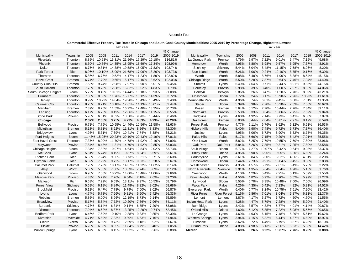#### Appendix Four

#### **Commercial Effective Property Tax Rates in Chicago and South Cook County Municipalities: 2005-2019 by Percentage Change, Highest to Lowest** Tax Year Tax Year

|                           |               |        |        |        |                                    |                      |        | % Change  |                         |                     |       |       |        |        |       |        | % Change  |
|---------------------------|---------------|--------|--------|--------|------------------------------------|----------------------|--------|-----------|-------------------------|---------------------|-------|-------|--------|--------|-------|--------|-----------|
| Municipality              | Township      | 2005   | 2008   | 2011   | 2014                               | 2017                 | 2019   | 2005-2019 | Municipality            | Township            | 2005  | 2008  | 2011   | 2014   | 2017  | 2019   | 2005-2019 |
| Riverdale                 | Thornton      | 8.85%  | 10.63% |        | 15.31% 21.56% 17.29%               |                      | 19.18% | 116.81%   | La Grange Park          | Proviso             | 4.79% | 5.97% | 7.22%  | 9.01%  | 6.47% | 7.16%  | 49.68%    |
| Phoenix                   | Thornton      | 8.30%  |        |        | 10.86% 14.35% 18.95% 15.69% 17.34% |                      |        | 108.99%   | Hometown                | Worth               | 4.95% | 5.80% | 6.98%  | 9.57%  | 6.95% | 7.37%  | 48.91%    |
| Dolton                    | Thornton      | 8.75%  | 9.81%  |        | 14.38% 19.58% 16.05% 17.83%        |                      |        | 103.74%   | Stickney                | Stickney            | 5.44% | 6.04% | 8.48%  | 11.15% | 7.58% | 8.06%  | 48.20%    |
| Park Forest               | Rich          | 8.96%  |        |        | 10.10% 15.09% 21.68% 17.06% 18.26% |                      |        | 103.73%   | <b>Blue Island</b>      | Worth               | 6.26% | 7.06% | 9.24%  | 12.10% | 8.75% | 9.16%  | 46.39%    |
| Thornton                  | Thornton      | 5.86%  | 6.77%  |        | 10.52% 14.17% 11.23% 11.89%        |                      |        | 102.82%   | Worth                   | Worth               | 5.88% | 6.48% | 8.76%  | 11.96% | 8.38% | 8.54%  | 45.15%    |
| <b>Hazel Crest</b>        | <b>Bremen</b> | 6.74%  | 7.79%  |        | 10.65% 15.17% 12.16% 13.62%        |                      |        | 102.03%   | Chicago Ridge           | Worth               | 5.50% | 6.28% | 7.87%  | 10.64% | 7.46% | 7.94%  | 44.40%    |
| <b>Country Club Hills</b> | <b>Bremen</b> | 7.53%  | 9.74%  |        | 12.98% 17.97% 13.90% 15.01%        |                      |        | 99.45%    | Summit                  | Lyons               | 6.49% | 7.64% | 9.71%  | 12.44% | 8.91% | 9.35%  | 44.15%    |
| South Holland             | Thornton      | 7.73%  | 8.73%  |        | 12.38% 16.82% 13.52% 14.83%        |                      |        | 91.79%    | Berkeley                | Proviso             | 5.98% | 6.39% | 8.40%  | 11.00% | 7.97% | 8.62%  | 44.06%    |
| South Chicago Heights     | <b>Bloom</b>  | 5.72%  | 8.40%  |        | 10.81% 14.44% 10.18% 10.93%        |                      |        | 91.08%    | Berwyn                  | Berwyn              | 5.86% | 6.26% | 8.47%  | 11.20% | 7.70% | 8.39%  | 43.21%    |
| Burnham                   | Thornton      | 7.83%  | 8.68%  |        | 11.76% 15.77% 13.12% 14.39%        |                      |        | 83.72%    | Flossmoor               | Bloom               | 7.72% | 6.24% | 8.17%  | 10.90% | 7.96% | 10.93% | 41.61%    |
| Harvey                    | Thornton      | 8.99%  | 10.72% |        | 14.04% 19.20%                      | 15.49% 16.49%        |        | 83.40%    | <b>Merrionette Park</b> | Worth               | 4.96% | 5.74% | 6.81%  | 9.45%  | 6.60% | 7.01%  | 41.35%    |
| <b>Calumet City</b>       | Thornton      | 8.23%  | 9.21%  |        | 13.18% 17.61% 14.13% 15.01%        |                      |        | 82.44%    | Steger                  | Bloom               | 5.39% | 5.98% | 7.70%  | 10.20% | 7.33% | 7.58%  | 40.62%    |
| Markham                   | <b>Bremen</b> | 7.39%  | 8.26%  |        | 11.59% 16.22% 12.40% 13.35%        |                      |        | 80.73%    | Posen                   | Bremen              | 5.64% | 6.12% | 7.70%  | 10.44% | 7.76% | 7.84%  | 39.11%    |
| Lansing                   | Thornton      | 6.17%  | 6.76%  | 9.49%  | 12.66%                             | 10.28% 11.15%        |        | 80.55%    | Northlake               | Proviso             | 5.53% | 6.33% | 8.34%  | 10.86% | 7.75% | 7.69%  | 39.04%    |
| <b>Stone Park</b>         | Proviso       | 5.78%  | 6.61%  | 9.62%  | 13.50%                             | 9.98%                | 10.44% | 80.46%    | Hodgkins                | Lyons               | 4.60% | 4.92% | 7.14%  | 8.73%  | 6.41% | 6.30%  | 37.07%    |
| Chicago                   |               | 2.37%  | 2.35%  | 3.75%  | 4.29%                              | 4.53%                | 4.23%  | 78.29%    | Oak Forest              | Bremen              | 6.00% | 6.44% | 7.84%  | 10.81% | 7.97% | 8.19%  | 36.59%    |
| Bellwood                  | Proviso       | 6.71%  | 7.79%  | 10.95% |                                    | 14.46% 10.56% 11.58% |        | 72.63%    | <b>Forest Park</b>      | Proviso             | 4.77% | 5.11% | 6.76%  | 8.62%  | 6.12% | 6.51%  | 36.53%    |
| Midlothian                | Bremen        | 5.13%  | 5.81%  | 8.22%  | 11.31%                             | 8.26%                | 8.83%  | 72.30%    | <b>Hickory Hills</b>    | Palos               | 5.40% | 5.90% | 7.48%  | 9.72%  | 6.73% | 7.37%  | 36.40%    |
| <b>Bridgeview</b>         | Lyons         | 4.98%  | 5.31%  | 7.69%  | 10.41%                             | 7.74%                | 8.38%  | 68.21%    | Justice                 | Lyons               | 4.95% | 5.06% | 6.72%  | 8.90%  | 6.32% | 6.75%  | 36.35%    |
| <b>Ford Heights</b>       | <b>Bloom</b>  | 11.43% | 15.05% |        | 20.23% 29.10% 20.43%               |                      | 19.19% | 67.81%    | Palos Hills             | Palos               | 5.17% | 5.66% | 7.15%  | 9.29%  | 6.42% | 7.01%  | 35.55%    |
| East Hazel Crest          | Thornton      | 7.37%  | 8.20%  |        | 11.70% 14.78% 11.92% 12.16%        |                      |        | 64.99%    | Oak Lawn                | Worth               | 5.82% | 6.25% | 7.79%  | 10.55% | 7.50% | 7.80%  | 33.96%    |
| Maywood                   | Proviso       | 7.84%  | 8.48%  |        | 11.31% 14.70% 11.92% 12.85%        |                      |        | 63.83%    | Oak Park                | Oak Park            | 5.84% | 6.26% | 7.85%  | 9.31%  | 7.25% | 7.80%  | 33.58%    |
| Chicago Heights           | <b>Bloom</b>  | 7.34%  | 7.82%  |        | 10.97% 14.64%                      | 10.84%               | 12.02% | 63.73%    | Sauk Village            | Bloom               | 6.77% | 7.27% | 10.07% | 13.42% | 9.64% | 9.03%  | 33.37%    |
| Mc Cook                   | Lyons         | 5.31%  | 5.74%  | 8.19%  | 10.87%                             | 8.24%                | 8.69%  | 63.61%    | <b>Tinley Park</b>      | Orland              | 4.95% | 5.90% | 6.96%  | 9.05%  | 6.20% | 6.60%  | 33.24%    |
| <b>Richton Park</b>       | Rich          | 6.55%  | 7.24%  | 9.86%  | 13.73% 10.21% 10.71%               |                      |        | 63.60%    | Countryside             | Lyons               | 3.61% | 3.84% | 5.60%  | 6.52%  | 4.56% | 4.81%  | 33.20%    |
| Olympia Fields            | Rich          | 6.32%  | 7.29%  | 9.72%  | 13.17%                             | 9.63%                | 10.28% | 62.67%    | Homewood                | <b>Bloom</b>        | 7.44% | 7.73% | 9.91%  | 13.04% | 9.45% | 9.88%  | 32.83%    |
| <b>Calumet Park</b>       | Calumet       | 7.26%  | 7.73%  |        | 10.17% 14.37% 11.22% 11.62%        |                      |        | 60.14%    | Westchester             | Proviso             | 4.35% | 4.57% | 5.79%  | 7.81%  | 5.49% | 5.75%  | 32.22%    |
| Alsip                     | Worth         | 5.05%  | 5.86%  | 7.80%  | 10.53% 7.74%                       |                      | 8.09%  | 60.12%    | North Riverside         | Riverside           | 3.91% | 4.35% | 5.64%  | 7.04%  | 4.90% | 5.15%  | 31.76%    |
| Glenwood                  | <b>Bloom</b>  | 6.93%  | 7.38%  | 10.22% | 14.00%                             | 10.46%               | 11.06% | 59.66%    | Crestwood               | Worth               | 4.10% | 4.29% | 5.49%  | 7.25%  | 5.19% | 5.39%  | 31.55%    |
| <b>Melrose Park</b>       | Proviso       | 4.83%  | 5.29%  | 7.26%  | 9.54%                              | 7.18%                | 7.69%  | 59.20%    | Palos Heights           | Palos               | 4.56% | 4.82% | 5.92%  | 7.90%  | 5.52% | 5.99%  | 31.27%    |
| Matteson                  | Rich          | 6.63%  | 7.22%  | 9.59%  | 13.11%                             | 9.97%                | 10.53% | 58.79%    | Lynwood                 | Bloom               | 5.55% | 5.70% | 8.35%  | 10.48% | 7.00% | 7.00%  | 26.09%    |
| <b>Forest View</b>        | Stickney      | 5.69%  | 6.18%  | 8.84%  | 11.48%                             | 8.32%                | 9.02%  | 58.68%    | Palos Park              | Palos               | 4.26% | 4.35% | 5.42%  | 7.23%  | 4.92% | 5.31%  | 24.52%    |
| <b>Brookfield</b>         | Proviso       | 5.11%  | 6.47%  | 7.78%  | 9.79%                              | 7.00%                | 8.02%  | 56.87%    | Evergreen Park          | Worth               | 6.40% | 6.77% | 8.24%  | 10.75% | 7.51% | 7.90%  | 23.42%    |
| Lyons                     | Lyons         | 4.74%  | 5.78%  | 7.66%  | 9.81%                              | 6.90%                | 7.42%  | 56.33%    | <b>River Forest</b>     | <b>River Forest</b> | 5.16% | 5.86% | 7.01%  | 8.04%  | 5.87% | 6.31%  | 22.37%    |
| Robbins                   | <b>Bremen</b> | 5.86%  | 6.00%  | 8.96%  | 12.19%                             | 8.73%                | 9.14%  | 55.89%    | Lemont                  | Lemont              | 3.87% | 4.17% | 5.27%  | 6.72%  | 4.50% | 4.70%  | 21.55%    |
| <b>Broadview</b>          | Proviso       | 5.17%  | 5.64%  | 7.72%  | 10.20%                             | 7.36%                | 7.96%  | 54.11%    | Indian Head Park        | Lyons               | 4.28% | 4.47% | 5.79%  | 7.28%  | 4.89% | 5.20%  | 21.40%    |
| <b>Burbank</b>            | Stickney      | 4.73%  | 5.14%  | 6.81%  | 9.14%                              | 6.75%                | 7.29%  | 53.98%    | <b>Burr Ridge</b>       | Lyons               | 3.42% | 3.57% | 4.82%  | 5.77%  | 4.01% | 4.14%  | 20.87%    |
| Dixmoor                   | Thornton      | 7.04%  | 8.62%  | 8.87%  |                                    | 13.25% 10.29%        | 10.74% | 52.45%    | <b>Orland Hills</b>     | Orland              | 4.60% | 5.12% | 5.85%  | 7.22%  | 5.08% | 5.55%  | 20.65%    |
| <b>Bedford Park</b>       | Lyons         | 6.46%  | 7.69%  |        | 10.10% 12.88%                      | 9.33%                | 9.85%  | 52.39%    | La Grange               | Lyons               | 4.69% | 4.93% | 6.15%  | 7.48%  | 5.29% | 5.61%  | 19.62%    |
| Riverside                 | Riverside     | 4.71%  | 5.69%  | 7.33%  | 9.39%                              | 6.63%                | 7.16%  | 51.94%    | <b>Western Springs</b>  | Lyons               | 3.94% | 4.15% | 5.32%  | 6.44%  | 4.37% | 4.69%  | 18.97%    |
| Cicero                    | Cicero        | 6.54%  | 6.89%  | 9.73%  | 12.69%                             | 9.18%                | 9.92%  | 51.67%    | Hinsdale                | Lyons               | 3.62% | 3.72% | 4.49%  | 5.79%  | 3.87% | 4.28%  | 18.10%    |
| Hillside                  | Proviso       | 6.23%  | 6.83%  | 8.95%  | 11.84%                             | 8.79%                | 9.40%  | 51.05%    | <b>Orland Park</b>      | Orland              | 4.88% | 4.98% | 6.13%  | 7.56%  | 5.23% | 5.58%  | 14.42%    |
| <b>Willow Springs</b>     | Lyons         | 5.47%  | 6.33%  | 8.15%  | 11.02%                             | 7.87%                | 8.26%  | 50.88%    | Median                  |                     | 5.69% | 6.26% | 8.22%  | 10.87% | 7.76% | 8.26%  | 50.88%    |
|                           |               |        |        |        |                                    |                      |        |           |                         |                     |       |       |        |        |       |        |           |